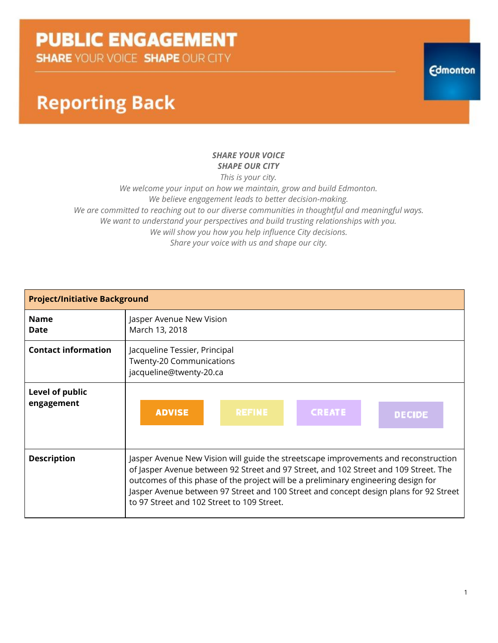**SHARE YOUR VOICE SHAPE OUR CITY** 

### **Reporting Back**

#### *SHARE YOUR VOICE SHAPE OUR CITY*

*This is your city. We welcome your input on how we maintain, grow and build Edmonton. We believe engagement leads to better decision-making.*

*We are committed to reaching out to our diverse communities in thoughtful and meaningful ways. We want to understand your perspectives and build trusting relationships with you. We will show you how you help influence City decisions. Share your voice with us and shape our city.*

| <b>Project/Initiative Background</b> |                                                                                                                                                                                                                                                                                                                                                                                                          |  |
|--------------------------------------|----------------------------------------------------------------------------------------------------------------------------------------------------------------------------------------------------------------------------------------------------------------------------------------------------------------------------------------------------------------------------------------------------------|--|
| <b>Name</b><br>Date                  | Jasper Avenue New Vision<br>March 13, 2018                                                                                                                                                                                                                                                                                                                                                               |  |
| <b>Contact information</b>           | Jacqueline Tessier, Principal<br>Twenty-20 Communications<br>jacqueline@twenty-20.ca                                                                                                                                                                                                                                                                                                                     |  |
| Level of public<br>engagement        | <b>ADVISE</b><br><b>REFINE</b><br><b>CREATE</b><br><b>DECIDE</b>                                                                                                                                                                                                                                                                                                                                         |  |
| <b>Description</b>                   | Jasper Avenue New Vision will guide the streetscape improvements and reconstruction<br>of Jasper Avenue between 92 Street and 97 Street, and 102 Street and 109 Street. The<br>outcomes of this phase of the project will be a preliminary engineering design for<br>Jasper Avenue between 97 Street and 100 Street and concept design plans for 92 Street<br>to 97 Street and 102 Street to 109 Street. |  |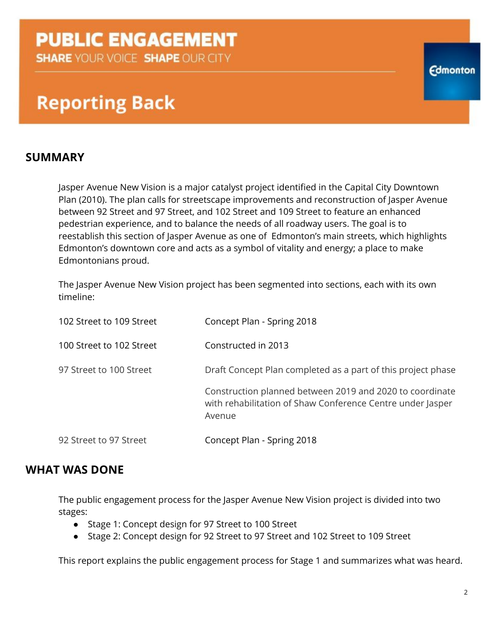**SHARE YOUR VOICE SHAPE OUR CITY** 

### **Reporting Back**

### **SUMMARY**

Jasper Avenue New Vision is a major catalyst project identified in the Capital City Downtown Plan (2010). The plan calls for streetscape improvements and reconstruction of Jasper Avenue between 92 Street and 97 Street, and 102 Street and 109 Street to feature an enhanced pedestrian experience, and to balance the needs of all roadway users. The goal is to reestablish this section of Jasper Avenue as one of Edmonton's main streets, which highlights Edmonton's downtown core and acts as a symbol of vitality and energy; a place to make Edmontonians proud.

The Jasper Avenue New Vision project has been segmented into sections, each with its own timeline:

| 102 Street to 109 Street | Concept Plan - Spring 2018                                                                                                       |
|--------------------------|----------------------------------------------------------------------------------------------------------------------------------|
| 100 Street to 102 Street | Constructed in 2013                                                                                                              |
| 97 Street to 100 Street  | Draft Concept Plan completed as a part of this project phase                                                                     |
|                          | Construction planned between 2019 and 2020 to coordinate<br>with rehabilitation of Shaw Conference Centre under Jasper<br>Avenue |
| 92 Street to 97 Street   | Concept Plan - Spring 2018                                                                                                       |

### **WHAT WAS DONE**

The public engagement process for the Jasper Avenue New Vision project is divided into two stages:

- Stage 1: Concept design for 97 Street to 100 Street
- Stage 2: Concept design for 92 Street to 97 Street and 102 Street to 109 Street

This report explains the public engagement process for Stage 1 and summarizes what was heard.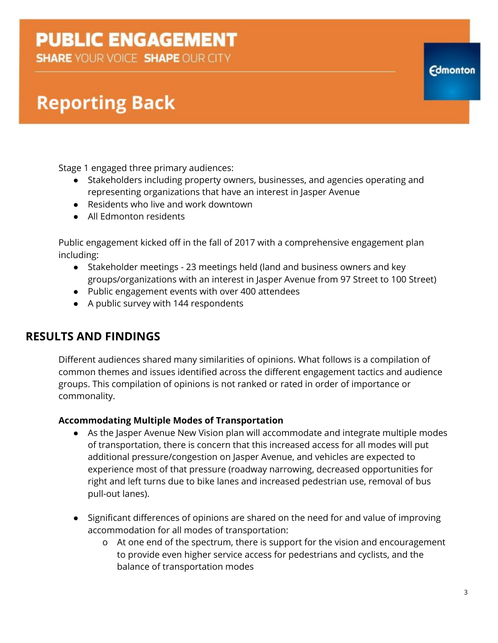**SHARE YOUR VOICE SHAPE OUR CITY** 

# **Reporting Back**

Stage 1 engaged three primary audiences:

- Stakeholders including property owners, businesses, and agencies operating and representing organizations that have an interest in Jasper Avenue
- Residents who live and work downtown
- All Edmonton residents

Public engagement kicked off in the fall of 2017 with a comprehensive engagement plan including:

- Stakeholder meetings 23 meetings held (land and business owners and key groups/organizations with an interest in Jasper Avenue from 97 Street to 100 Street)
- Public engagement events with over 400 attendees
- A public survey with 144 respondents

### **RESULTS AND FINDINGS**

Different audiences shared many similarities of opinions. What follows is a compilation of common themes and issues identified across the different engagement tactics and audience groups. This compilation of opinions is not ranked or rated in order of importance or commonality.

### **Accommodating Multiple Modes of Transportation**

- As the Jasper Avenue New Vision plan will accommodate and integrate multiple modes of transportation, there is concern that this increased access for all modes will put additional pressure/congestion on Jasper Avenue, and vehicles are expected to experience most of that pressure (roadway narrowing, decreased opportunities for right and left turns due to bike lanes and increased pedestrian use, removal of bus pull-out lanes).
- Significant differences of opinions are shared on the need for and value of improving accommodation for all modes of transportation:
	- o At one end of the spectrum, there is support for the vision and encouragement to provide even higher service access for pedestrians and cyclists, and the balance of transportation modes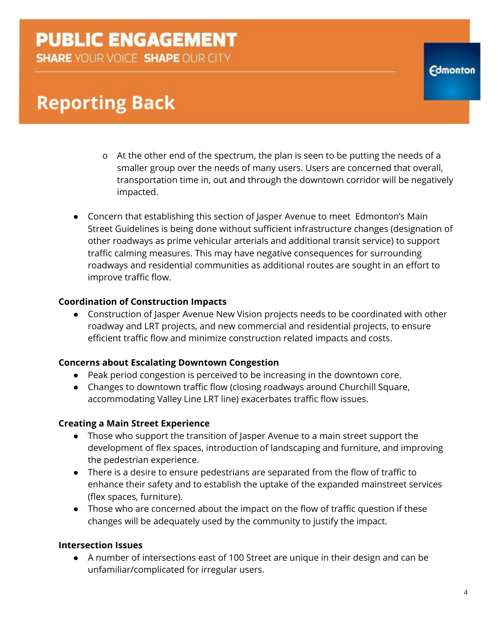**SHARE YOUR VOICE SHAPE OUR CITY** 

# **Reporting Back**

- o At the other end of the spectrum, the plan is seen to be putting the needs of a smaller group over the needs of many users. Users are concerned that overall, transportation time in, out and through the downtown corridor will be negatively impacted.
- Concern that establishing this section of Jasper Avenue to meet Edmonton's Main Street Guidelines is being done without sufficient infrastructure changes (designation of other roadways as prime vehicular arterials and additional transit service) to support traffic calming measures. This may have negative consequences for surrounding roadways and residential communities as additional routes are sought in an effort to improve traffic flow.

### **Coordination of Construction Impacts**

● Construction of Jasper Avenue New Vision projects needs to be coordinated with other roadway and LRT projects, and new commercial and residential projects, to ensure efficient traffic flow and minimize construction related impacts and costs.

#### **Concerns about Escalating Downtown Congestion**

- Peak period congestion is perceived to be increasing in the downtown core.
- Changes to downtown traffic flow (closing roadways around Churchill Square, accommodating Valley Line LRT line) exacerbates traffic flow issues.

#### **Creating a Main Street Experience**

- Those who support the transition of Jasper Avenue to a main street support the development of flex spaces, introduction of landscaping and furniture, and improving the pedestrian experience.
- There is a desire to ensure pedestrians are separated from the flow of traffic to enhance their safety and to establish the uptake of the expanded mainstreet services (flex spaces, furniture).
- Those who are concerned about the impact on the flow of traffic question if these changes will be adequately used by the community to justify the impact.

#### **Intersection Issues**

● A number of intersections east of 100 Street are unique in their design and can be unfamiliar/complicated for irregular users.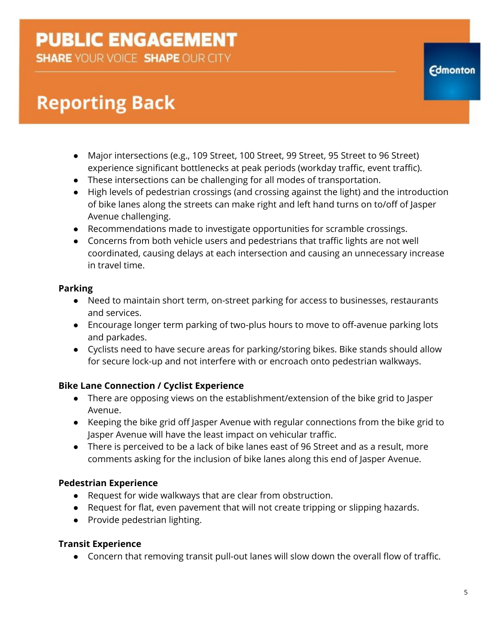**SHARE YOUR VOICE SHAPE OUR CITY** 

# **Reporting Back**

- Major intersections (e.g., 109 Street, 100 Street, 99 Street, 95 Street to 96 Street) experience significant bottlenecks at peak periods (workday traffic, event traffic).
- These intersections can be challenging for all modes of transportation.
- High levels of pedestrian crossings (and crossing against the light) and the introduction of bike lanes along the streets can make right and left hand turns on to/off of Jasper Avenue challenging.
- Recommendations made to investigate opportunities for scramble crossings.
- Concerns from both vehicle users and pedestrians that traffic lights are not well coordinated, causing delays at each intersection and causing an unnecessary increase in travel time.

### **Parking**

- Need to maintain short term, on-street parking for access to businesses, restaurants and services.
- Encourage longer term parking of two-plus hours to move to off-avenue parking lots and parkades.
- Cyclists need to have secure areas for parking/storing bikes. Bike stands should allow for secure lock-up and not interfere with or encroach onto pedestrian walkways.

### **Bike Lane Connection / Cyclist Experience**

- There are opposing views on the establishment/extension of the bike grid to Jasper Avenue.
- Keeping the bike grid off Jasper Avenue with regular connections from the bike grid to Jasper Avenue will have the least impact on vehicular traffic.
- There is perceived to be a lack of bike lanes east of 96 Street and as a result, more comments asking for the inclusion of bike lanes along this end of Jasper Avenue.

### **Pedestrian Experience**

- Request for wide walkways that are clear from obstruction.
- Request for flat, even pavement that will not create tripping or slipping hazards.
- Provide pedestrian lighting.

### **Transit Experience**

● Concern that removing transit pull-out lanes will slow down the overall flow of traffic.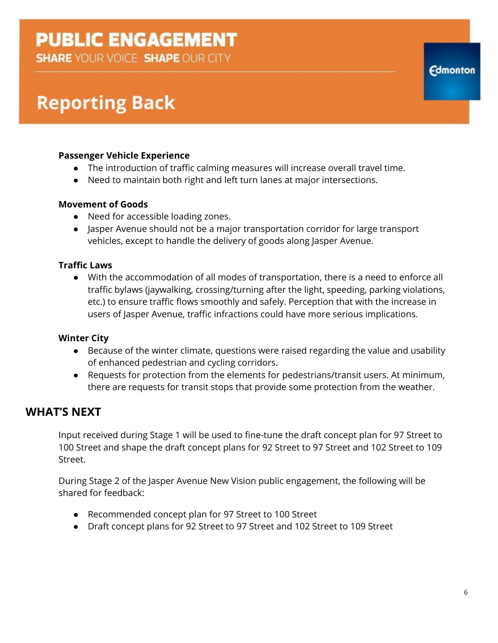**SHARE YOUR VOICE SHAPE OUR CITY** 

# **Reporting Back**

### **Passenger Vehicle Experience**

- The introduction of traffic calming measures will increase overall travel time.
- Need to maintain both right and left turn lanes at major intersections.

#### **Movement of Goods**

- Need for accessible loading zones.
- Jasper Avenue should not be a major transportation corridor for large transport vehicles, except to handle the delivery of goods along Jasper Avenue.

#### **Traffic Laws**

● With the accommodation of all modes of transportation, there is a need to enforce all traffic bylaws (jaywalking, crossing/turning after the light, speeding, parking violations, etc.) to ensure traffic flows smoothly and safely. Perception that with the increase in users of Jasper Avenue, traffic infractions could have more serious implications.

#### **Winter City**

- Because of the winter climate, questions were raised regarding the value and usability of enhanced pedestrian and cycling corridors.
- Requests for protection from the elements for pedestrians/transit users. At minimum, there are requests for transit stops that provide some protection from the weather.

### **WHAT'S NEXT**

Input received during Stage 1 will be used to fine-tune the draft concept plan for 97 Street to 100 Street and shape the draft concept plans for 92 Street to 97 Street and 102 Street to 109 Street.

During Stage 2 of the Jasper Avenue New Vision public engagement, the following will be shared for feedback:

- Recommended concept plan for 97 Street to 100 Street
- Draft concept plans for 92 Street to 97 Street and 102 Street to 109 Street